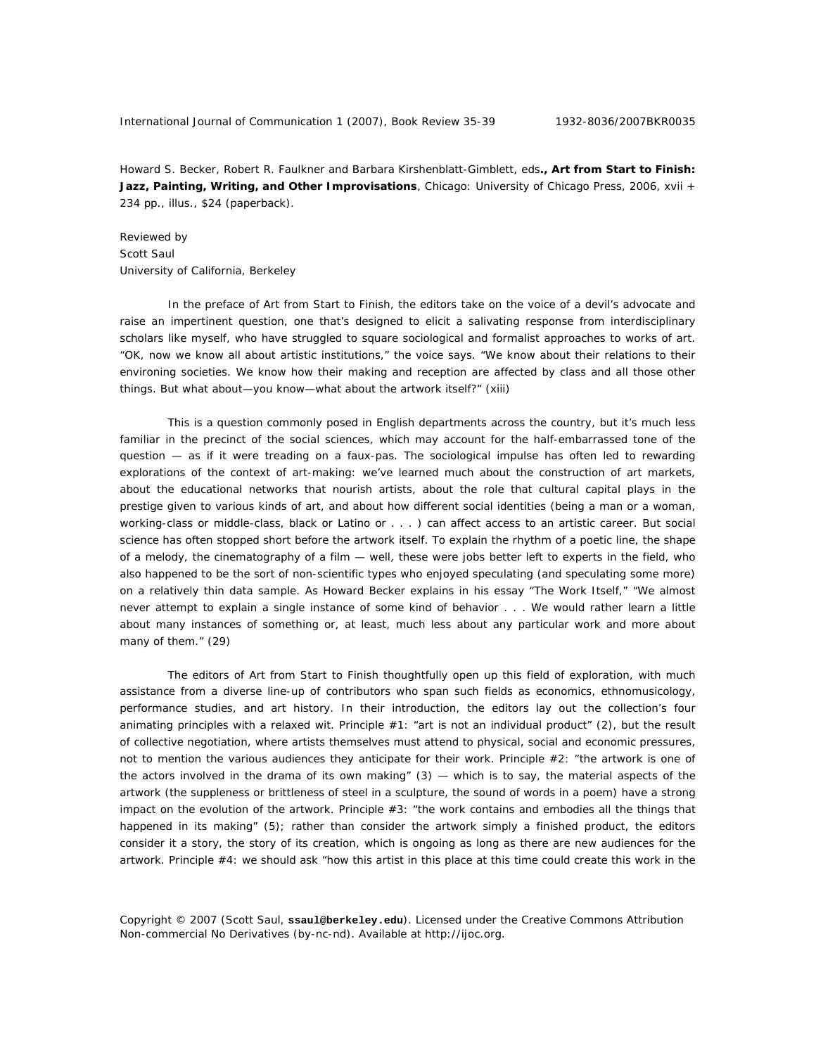Howard S. Becker, Robert R. Faulkner and Barbara Kirshenblatt-Gimblett, eds**., Art from Start to Finish: Jazz, Painting, Writing, and Other Improvisations***,* Chicago: University of Chicago Press, 2006, xvii + 234 pp., illus., \$24 (paperback).

Reviewed by Scott Saul University of California, Berkeley

In the preface of *Art from Start to Finish*, the editors take on the voice of a devil's advocate and raise an impertinent question, one that's designed to elicit a salivating response from interdisciplinary scholars like myself, who have struggled to square sociological and formalist approaches to works of art. "OK, now we know all about artistic institutions," the voice says. "We know about their relations to their environing societies. We know how their making and reception are affected by class and all those other things. But what about—you know—what about the artwork itself?" (xiii)

This is a question commonly posed in English departments across the country, but it's much less familiar in the precinct of the social sciences, which may account for the half-embarrassed tone of the question — as if it were treading on a faux-pas. The sociological impulse has often led to rewarding explorations of the context of art-making: we've learned much about the construction of art markets, about the educational networks that nourish artists, about the role that cultural capital plays in the prestige given to various kinds of art, and about how different social identities (being a man or a woman, working-class or middle-class, black or Latino or . . . ) can affect access to an artistic career. But social science has often stopped short before the artwork itself. To explain the rhythm of a poetic line, the shape of a melody, the cinematography of a film — well, these were jobs better left to experts in the field, who also happened to be the sort of non-scientific types who enjoyed speculating (and speculating some more) on a relatively thin data sample. As Howard Becker explains in his essay "The Work Itself," "We almost never attempt to explain a single instance of some kind of behavior . . . We would rather learn a little about many instances of something or, at least, much less about any particular work and more about many of them." (29)

The editors of *Art from Start to Finish* thoughtfully open up this field of exploration, with much assistance from a diverse line-up of contributors who span such fields as economics, ethnomusicology, performance studies, and art history. In their introduction, the editors lay out the collection's four animating principles with a relaxed wit. Principle #1: "art is not an individual product" (2), but the result of collective negotiation, where artists themselves must attend to physical, social and economic pressures, not to mention the various audiences they anticipate for their work. Principle #2: "the artwork is one of the actors involved in the drama of its own making"  $(3)$  — which is to say, the material aspects of the artwork (the suppleness or brittleness of steel in a sculpture, the sound of words in a poem) have a strong impact on the evolution of the artwork. Principle #3: "the work contains and embodies all the things that happened in its making" (5); rather than consider the artwork simply a finished product, the editors consider it a story, the story of its creation, which is ongoing as long as there are new audiences for the artwork. Principle #4: we should ask "how this artist in this place at this time could create this work in the

Copyright © 2007 (Scott Saul, **ssaul@berkeley.edu**). Licensed under the Creative Commons Attribution Non-commercial No Derivatives (by-nc-nd). Available at http://ijoc.org.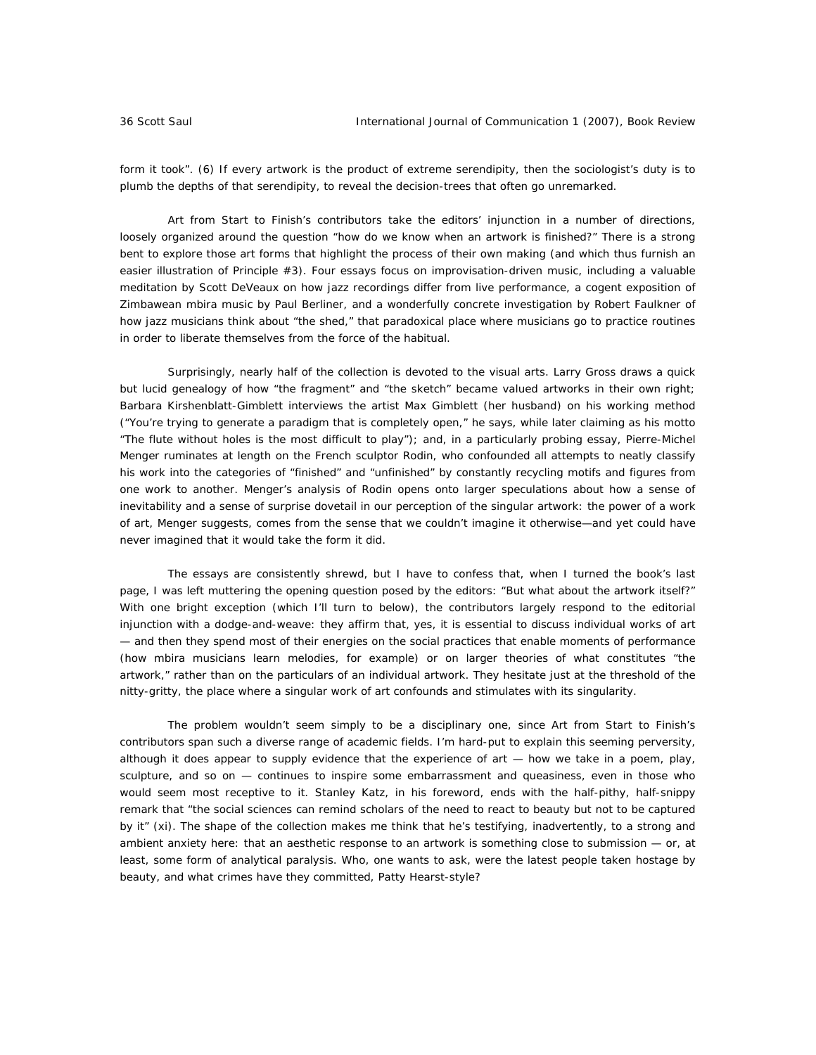form it took". (6) If every artwork is the product of extreme serendipity, then the sociologist's duty is to plumb the depths of that serendipity, to reveal the decision-trees that often go unremarked.

*Art from Start to Finish*'s contributors take the editors' injunction in a number of directions, loosely organized around the question "how do we know when an artwork is finished?" There is a strong bent to explore those art forms that highlight the process of their own making (and which thus furnish an easier illustration of Principle #3). Four essays focus on improvisation-driven music, including a valuable meditation by Scott DeVeaux on how jazz recordings differ from live performance, a cogent exposition of Zimbawean *mbira* music by Paul Berliner, and a wonderfully concrete investigation by Robert Faulkner of how jazz musicians think about "the shed," that paradoxical place where musicians go to practice routines in order to liberate themselves from the force of the habitual.

Surprisingly, nearly half of the collection is devoted to the visual arts. Larry Gross draws a quick but lucid genealogy of how "the fragment" and "the sketch" became valued artworks in their own right; Barbara Kirshenblatt-Gimblett interviews the artist Max Gimblett (her husband) on his working method ("You're trying to generate a paradigm that is completely open," he says, while later claiming as his motto "The flute without holes is the most difficult to play"); and, in a particularly probing essay, Pierre-Michel Menger ruminates at length on the French sculptor Rodin, who confounded all attempts to neatly classify his work into the categories of "finished" and "unfinished" by constantly recycling motifs and figures from one work to another. Menger's analysis of Rodin opens onto larger speculations about how a sense of inevitability and a sense of surprise dovetail in our perception of the singular artwork: the power of a work of art, Menger suggests, comes from the sense that we couldn't imagine it otherwise—and yet could have never imagined that it would take the form it did.

The essays are consistently shrewd, but I have to confess that, when I turned the book's last page, I was left muttering the opening question posed by the editors: "But what about the artwork itself?" With one bright exception (which I'll turn to below), the contributors largely respond to the editorial injunction with a dodge-and-weave: they affirm that, yes, it is essential to discuss individual works of art — and then they spend most of their energies on the social practices that enable moments of performance (how *mbira* musicians learn melodies, for example) or on larger theories of what constitutes "the artwork," rather than on the particulars of an individual artwork. They hesitate just at the threshold of the nitty-gritty, the place where a singular work of art confounds and stimulates with its singularity.

The problem wouldn't seem simply to be a disciplinary one, since *Art from Start to Finish*'s contributors span such a diverse range of academic fields. I'm hard-put to explain this seeming perversity, although it does appear to supply evidence that the experience of art — how we take in a poem, play, sculpture, and so on - continues to inspire some embarrassment and queasiness, even in those who would seem most receptive to it. Stanley Katz, in his foreword, ends with the half-pithy, half-snippy remark that "the social sciences can remind scholars of the need to react to beauty but not to be captured by it" (xi). The shape of the collection makes me think that he's testifying, inadvertently, to a strong and ambient anxiety here: that an aesthetic response to an artwork is something close to submission - or, at least, some form of analytical paralysis. Who, one wants to ask, were the latest people taken hostage by beauty, and what crimes have they committed, Patty Hearst-style?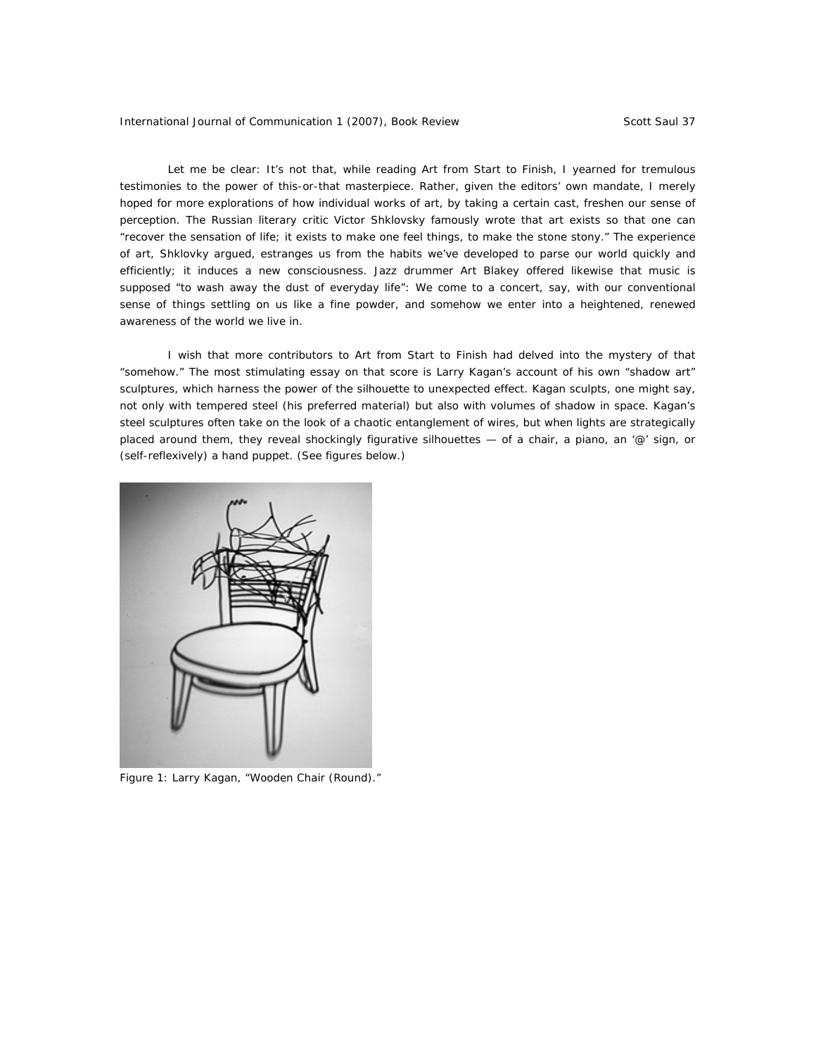Let me be clear: It's not that, while reading *Art from Start to Finish*, I yearned for tremulous testimonies to the power of this-or-that masterpiece. Rather, given the editors' own mandate, I merely hoped for more explorations of how individual works of art, by taking a certain cast, freshen our sense of perception. The Russian literary critic Victor Shklovsky famously wrote that art exists so that one can "recover the sensation of life; it exists to make one feel things, to make the stone *stony.*" The experience of art, Shklovky argued, estranges us from the habits we've developed to parse our world quickly and efficiently; it induces a new consciousness. Jazz drummer Art Blakey offered likewise that music is supposed "to wash away the dust of everyday life": We come to a concert, say, with our conventional sense of things settling on us like a fine powder, and somehow we enter into a heightened, renewed awareness of the world we live in.

I wish that more contributors to *Art from Start to Finish* had delved into the mystery of that "somehow." The most stimulating essay on that score is Larry Kagan's account of his own "shadow art" sculptures, which harness the power of the silhouette to unexpected effect. Kagan sculpts, one might say, not only with tempered steel (his preferred material) but also with volumes of shadow in space. Kagan's steel sculptures often take on the look of a chaotic entanglement of wires, but when lights are strategically placed around them, they reveal shockingly figurative silhouettes  $-$  of a chair, a piano, an '@' sign, or (self-reflexively) a hand puppet. (See figures below.)



Figure 1: Larry Kagan, "Wooden Chair (Round)."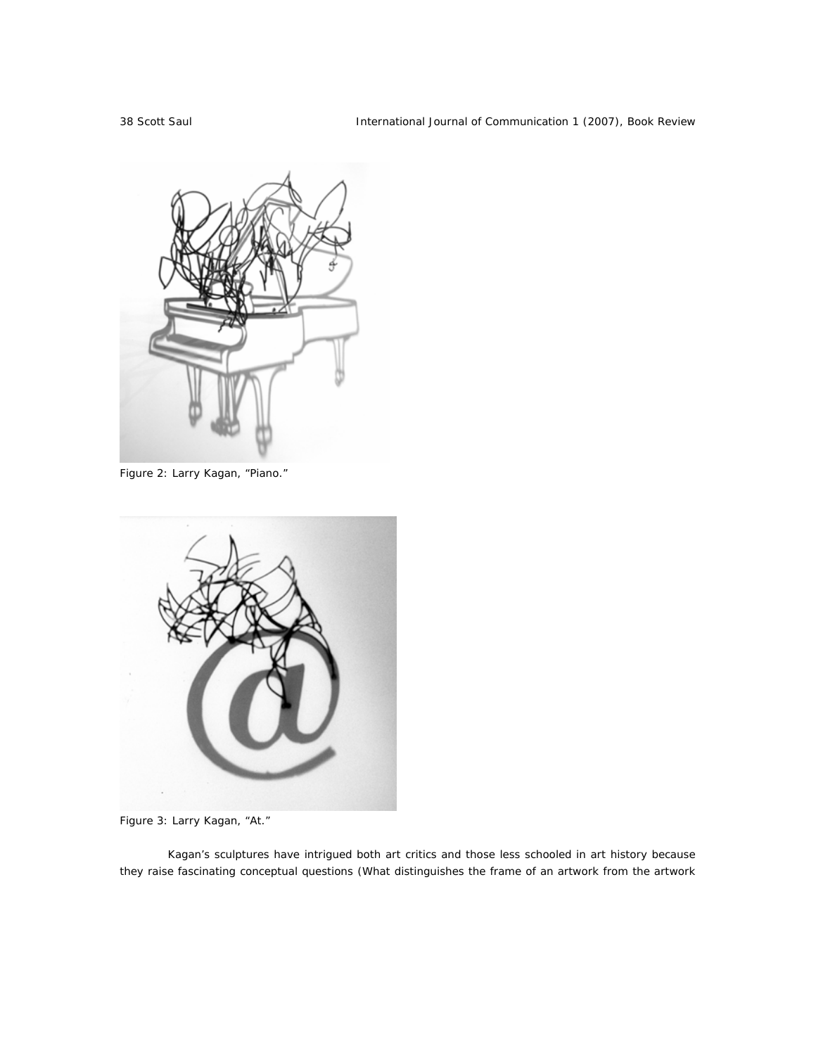

Figure 2: Larry Kagan, "Piano."



Figure 3: Larry Kagan, "At."

Kagan's sculptures have intrigued both art critics and those less schooled in art history because they raise fascinating conceptual questions (What distinguishes the frame of an artwork from the artwork